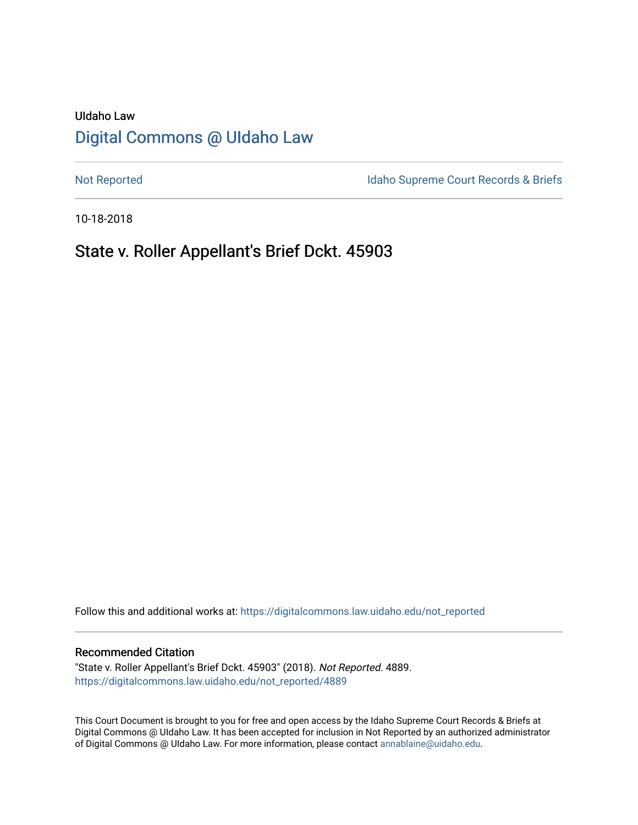# UIdaho Law [Digital Commons @ UIdaho Law](https://digitalcommons.law.uidaho.edu/)

[Not Reported](https://digitalcommons.law.uidaho.edu/not_reported) **Idaho Supreme Court Records & Briefs** 

10-18-2018

# State v. Roller Appellant's Brief Dckt. 45903

Follow this and additional works at: [https://digitalcommons.law.uidaho.edu/not\\_reported](https://digitalcommons.law.uidaho.edu/not_reported?utm_source=digitalcommons.law.uidaho.edu%2Fnot_reported%2F4889&utm_medium=PDF&utm_campaign=PDFCoverPages) 

#### Recommended Citation

"State v. Roller Appellant's Brief Dckt. 45903" (2018). Not Reported. 4889. [https://digitalcommons.law.uidaho.edu/not\\_reported/4889](https://digitalcommons.law.uidaho.edu/not_reported/4889?utm_source=digitalcommons.law.uidaho.edu%2Fnot_reported%2F4889&utm_medium=PDF&utm_campaign=PDFCoverPages)

This Court Document is brought to you for free and open access by the Idaho Supreme Court Records & Briefs at Digital Commons @ UIdaho Law. It has been accepted for inclusion in Not Reported by an authorized administrator of Digital Commons @ UIdaho Law. For more information, please contact [annablaine@uidaho.edu](mailto:annablaine@uidaho.edu).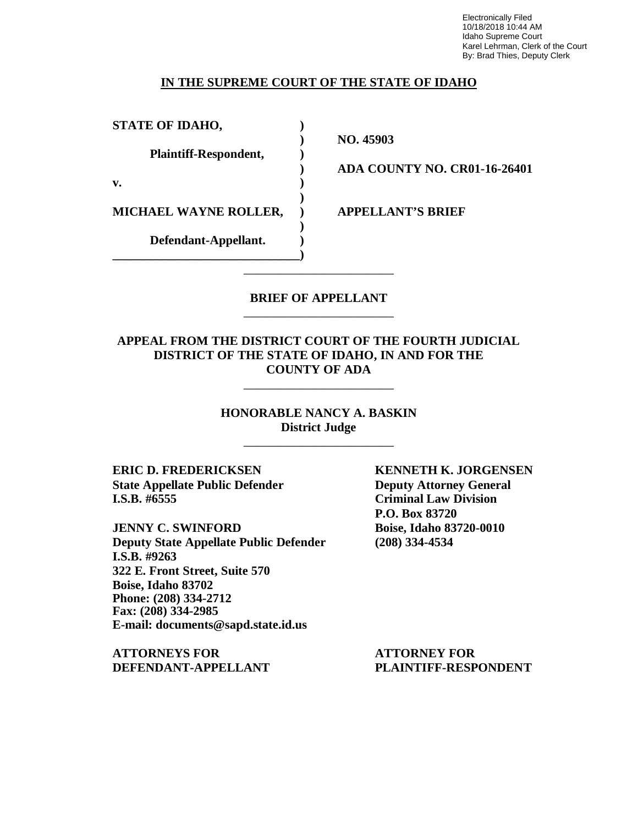Electronically Filed 10/18/2018 10:44 AM Idaho Supreme Court Karel Lehrman, Clerk of the Court By: Brad Thies, Deputy Clerk

## **IN THE SUPREME COURT OF THE STATE OF IDAHO**

**STATE OF IDAHO, )**

**Plaintiff-Respondent, )**

**v. )**

**MICHAEL WAYNE ROLLER, ) APPELLANT'S BRIEF**

**Defendant-Appellant. ) \_\_\_\_\_\_\_\_\_\_\_\_\_\_\_\_\_\_\_\_\_\_\_\_\_\_\_\_\_\_)** **) NO. 45903**

**) ADA COUNTY NO. CR01-16-26401**

## **BRIEF OF APPELLANT** \_\_\_\_\_\_\_\_\_\_\_\_\_\_\_\_\_\_\_\_\_\_\_\_

\_\_\_\_\_\_\_\_\_\_\_\_\_\_\_\_\_\_\_\_\_\_\_\_

**)**

**)**

## **APPEAL FROM THE DISTRICT COURT OF THE FOURTH JUDICIAL DISTRICT OF THE STATE OF IDAHO, IN AND FOR THE COUNTY OF ADA**

\_\_\_\_\_\_\_\_\_\_\_\_\_\_\_\_\_\_\_\_\_\_\_\_

**HONORABLE NANCY A. BASKIN District Judge**

\_\_\_\_\_\_\_\_\_\_\_\_\_\_\_\_\_\_\_\_\_\_\_\_

**ERIC D. FREDERICKSEN KENNETH K. JORGENSEN State Appellate Public Defender Deputy Attorney General I.S.B. #6555 Criminal Law Division**

**JENNY C. SWINFORD Boise, Idaho 83720-0010 Deputy State Appellate Public Defender (208) 334-4534 I.S.B. #9263 322 E. Front Street, Suite 570 Boise, Idaho 83702 Phone: (208) 334-2712 Fax: (208) 334-2985 E-mail: documents@sapd.state.id.us**

**ATTORNEYS FOR ATTORNEY FOR DEFENDANT-APPELLANT PLAINTIFF-RESPONDENT**

**P.O. Box 83720**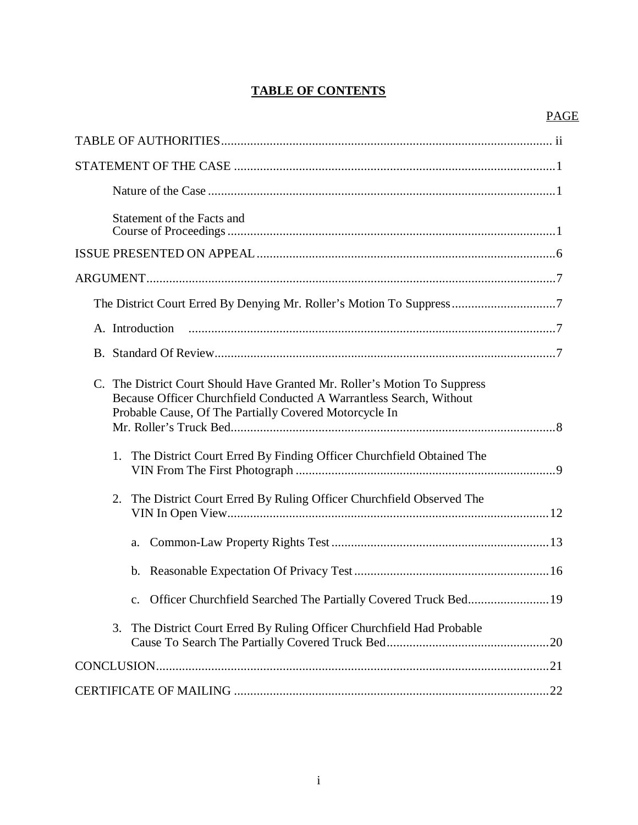## **TABLE OF CONTENTS**

| Statement of the Facts and                                                                                                                                                                                 |
|------------------------------------------------------------------------------------------------------------------------------------------------------------------------------------------------------------|
|                                                                                                                                                                                                            |
|                                                                                                                                                                                                            |
| The District Court Erred By Denying Mr. Roller's Motion To Suppress7                                                                                                                                       |
| A. Introduction                                                                                                                                                                                            |
|                                                                                                                                                                                                            |
| C. The District Court Should Have Granted Mr. Roller's Motion To Suppress<br>Because Officer Churchfield Conducted A Warrantless Search, Without<br>Probable Cause, Of The Partially Covered Motorcycle In |
| 1. The District Court Erred By Finding Officer Churchfield Obtained The                                                                                                                                    |
| 2. The District Court Erred By Ruling Officer Churchfield Observed The                                                                                                                                     |
| a.                                                                                                                                                                                                         |
|                                                                                                                                                                                                            |
| c. Officer Churchfield Searched The Partially Covered Truck Bed 19                                                                                                                                         |
| The District Court Erred By Ruling Officer Churchfield Had Probable<br>3.                                                                                                                                  |
|                                                                                                                                                                                                            |
|                                                                                                                                                                                                            |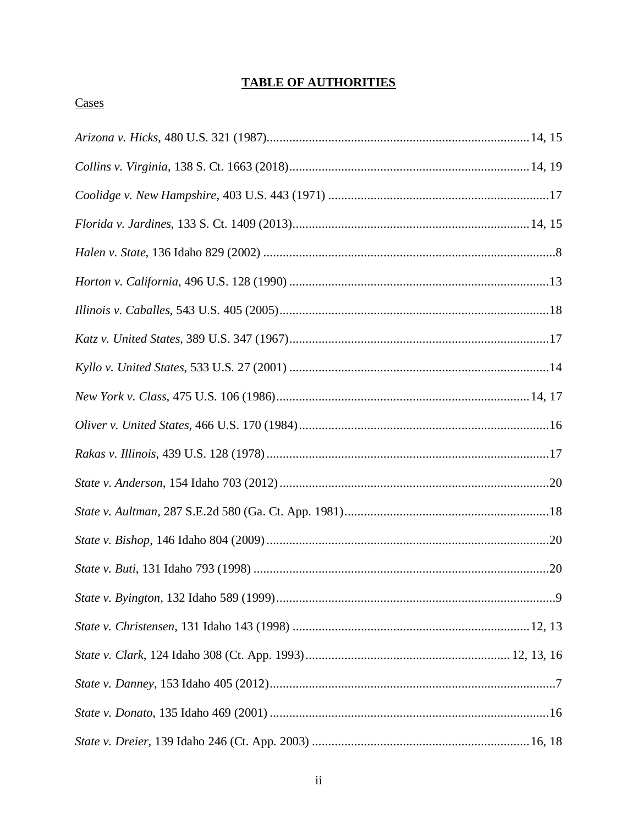## **TABLE OF AUTHORITIES**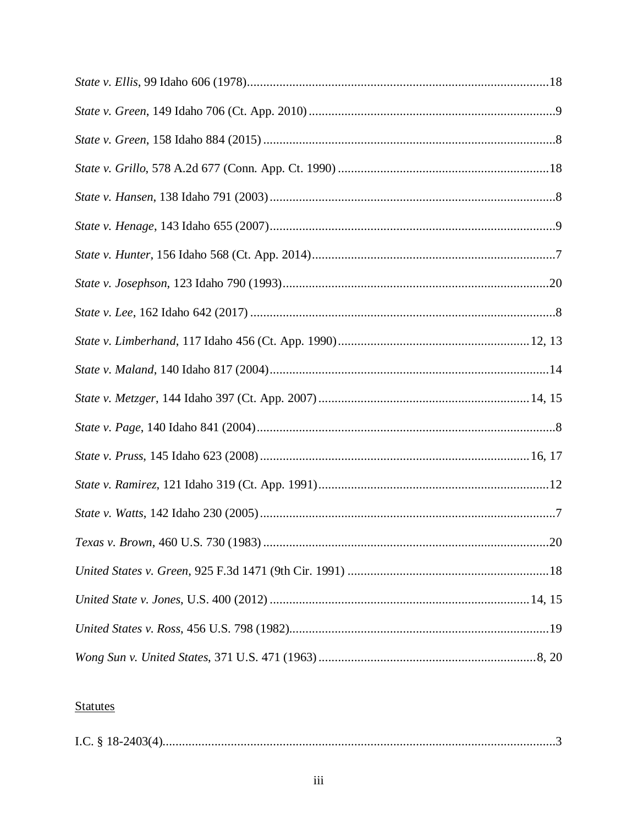# **Statutes**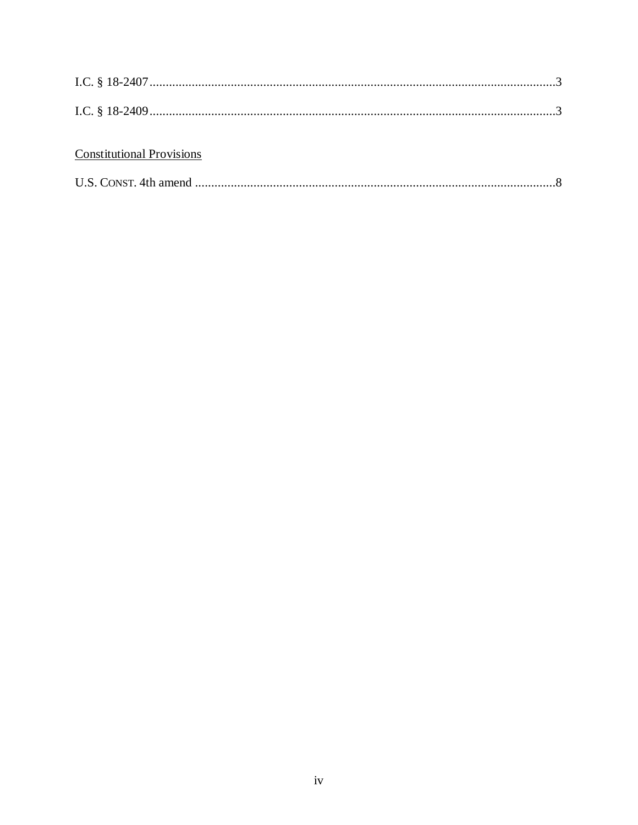## **Constitutional Provisions**

|--|--|--|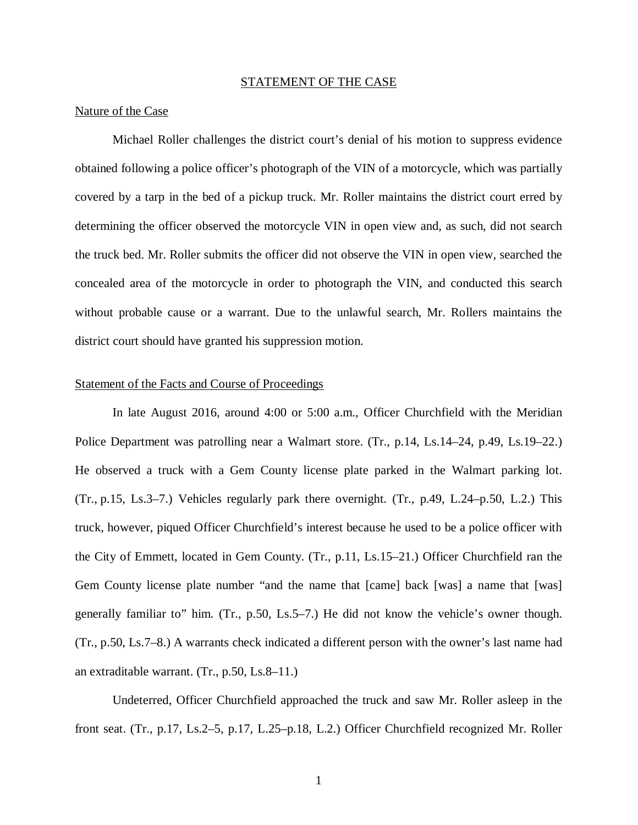#### STATEMENT OF THE CASE

#### Nature of the Case

Michael Roller challenges the district court's denial of his motion to suppress evidence obtained following a police officer's photograph of the VIN of a motorcycle, which was partially covered by a tarp in the bed of a pickup truck. Mr. Roller maintains the district court erred by determining the officer observed the motorcycle VIN in open view and, as such, did not search the truck bed. Mr. Roller submits the officer did not observe the VIN in open view, searched the concealed area of the motorcycle in order to photograph the VIN, and conducted this search without probable cause or a warrant. Due to the unlawful search, Mr. Rollers maintains the district court should have granted his suppression motion.

### Statement of the Facts and Course of Proceedings

In late August 2016, around 4:00 or 5:00 a.m., Officer Churchfield with the Meridian Police Department was patrolling near a Walmart store. (Tr., p.14, Ls.14–24, p.49, Ls.19–22.) He observed a truck with a Gem County license plate parked in the Walmart parking lot. (Tr., p.15, Ls.3–7.) Vehicles regularly park there overnight. (Tr., p.49, L.24–p.50, L.2.) This truck, however, piqued Officer Churchfield's interest because he used to be a police officer with the City of Emmett, located in Gem County. (Tr., p.11, Ls.15–21.) Officer Churchfield ran the Gem County license plate number "and the name that [came] back [was] a name that [was] generally familiar to" him. (Tr., p.50, Ls.5–7.) He did not know the vehicle's owner though. (Tr., p.50, Ls.7–8.) A warrants check indicated a different person with the owner's last name had an extraditable warrant. (Tr., p.50, Ls.8–11.)

Undeterred, Officer Churchfield approached the truck and saw Mr. Roller asleep in the front seat. (Tr., p.17, Ls.2–5, p.17, L.25–p.18, L.2.) Officer Churchfield recognized Mr. Roller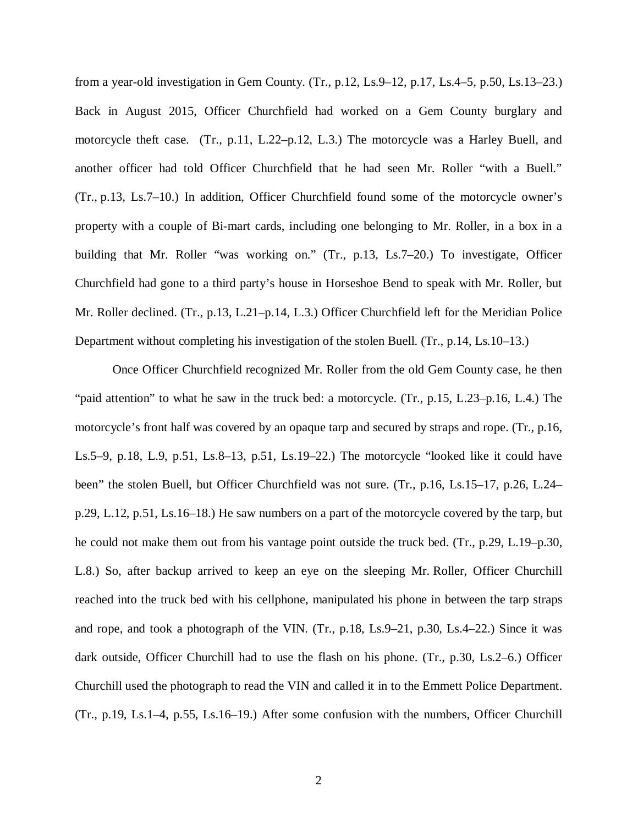from a year-old investigation in Gem County. (Tr., p.12, Ls.9–12, p.17, Ls.4–5, p.50, Ls.13–23.) Back in August 2015, Officer Churchfield had worked on a Gem County burglary and motorcycle theft case. (Tr., p.11, L.22–p.12, L.3.) The motorcycle was a Harley Buell, and another officer had told Officer Churchfield that he had seen Mr. Roller "with a Buell." (Tr., p.13, Ls.7–10.) In addition, Officer Churchfield found some of the motorcycle owner's property with a couple of Bi-mart cards, including one belonging to Mr. Roller, in a box in a building that Mr. Roller "was working on." (Tr., p.13, Ls.7–20.) To investigate, Officer Churchfield had gone to a third party's house in Horseshoe Bend to speak with Mr. Roller, but Mr. Roller declined. (Tr., p.13, L.21–p.14, L.3.) Officer Churchfield left for the Meridian Police Department without completing his investigation of the stolen Buell. (Tr., p.14, Ls.10–13.)

Once Officer Churchfield recognized Mr. Roller from the old Gem County case, he then "paid attention" to what he saw in the truck bed: a motorcycle. (Tr., p.15, L.23–p.16, L.4.) The motorcycle's front half was covered by an opaque tarp and secured by straps and rope. (Tr., p.16, Ls.5–9, p.18, L.9, p.51, Ls.8–13, p.51, Ls.19–22.) The motorcycle "looked like it could have been" the stolen Buell, but Officer Churchfield was not sure. (Tr., p.16, Ls.15–17, p.26, L.24– p.29, L.12, p.51, Ls.16–18.) He saw numbers on a part of the motorcycle covered by the tarp, but he could not make them out from his vantage point outside the truck bed. (Tr., p.29, L.19–p.30, L.8.) So, after backup arrived to keep an eye on the sleeping Mr. Roller, Officer Churchill reached into the truck bed with his cellphone, manipulated his phone in between the tarp straps and rope, and took a photograph of the VIN. (Tr., p.18, Ls.9–21, p.30, Ls.4–22.) Since it was dark outside, Officer Churchill had to use the flash on his phone. (Tr., p.30, Ls.2–6.) Officer Churchill used the photograph to read the VIN and called it in to the Emmett Police Department. (Tr., p.19, Ls.1–4, p.55, Ls.16–19.) After some confusion with the numbers, Officer Churchill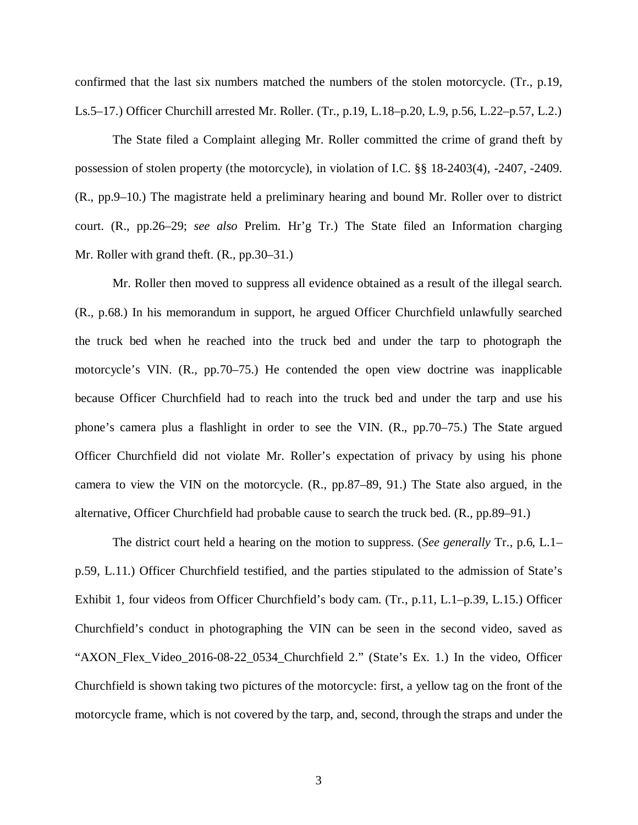confirmed that the last six numbers matched the numbers of the stolen motorcycle. (Tr., p.19, Ls.5–17.) Officer Churchill arrested Mr. Roller. (Tr., p.19, L.18–p.20, L.9, p.56, L.22–p.57, L.2.)

The State filed a Complaint alleging Mr. Roller committed the crime of grand theft by possession of stolen property (the motorcycle), in violation of I.C. §§ 18-2403(4), -2407, -2409. (R., pp.9–10.) The magistrate held a preliminary hearing and bound Mr. Roller over to district court. (R., pp.26–29; *see also* Prelim. Hr'g Tr.) The State filed an Information charging Mr. Roller with grand theft. (R., pp.30–31.)

Mr. Roller then moved to suppress all evidence obtained as a result of the illegal search. (R., p.68.) In his memorandum in support, he argued Officer Churchfield unlawfully searched the truck bed when he reached into the truck bed and under the tarp to photograph the motorcycle's VIN. (R., pp.70–75.) He contended the open view doctrine was inapplicable because Officer Churchfield had to reach into the truck bed and under the tarp and use his phone's camera plus a flashlight in order to see the VIN. (R., pp.70–75.) The State argued Officer Churchfield did not violate Mr. Roller's expectation of privacy by using his phone camera to view the VIN on the motorcycle. (R., pp.87–89, 91.) The State also argued, in the alternative, Officer Churchfield had probable cause to search the truck bed. (R., pp.89–91.)

The district court held a hearing on the motion to suppress. (*See generally* Tr., p.6, L.1– p.59, L.11.) Officer Churchfield testified, and the parties stipulated to the admission of State's Exhibit 1, four videos from Officer Churchfield's body cam. (Tr., p.11, L.1–p.39, L.15.) Officer Churchfield's conduct in photographing the VIN can be seen in the second video, saved as "AXON\_Flex\_Video\_2016-08-22\_0534\_Churchfield 2." (State's Ex. 1.) In the video, Officer Churchfield is shown taking two pictures of the motorcycle: first, a yellow tag on the front of the motorcycle frame, which is not covered by the tarp, and, second, through the straps and under the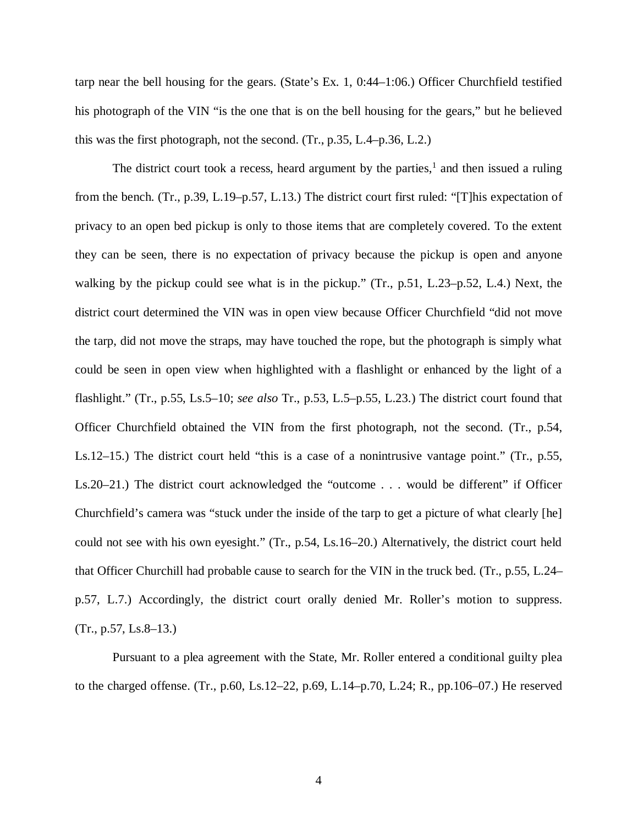tarp near the bell housing for the gears. (State's Ex. 1, 0:44–1:06.) Officer Churchfield testified his photograph of the VIN "is the one that is on the bell housing for the gears," but he believed this was the first photograph, not the second. (Tr., p.35, L.4–p.36, L.2.)

The district court took a recess, heard argument by the parties, $<sup>1</sup>$  $<sup>1</sup>$  $<sup>1</sup>$  and then issued a ruling</sup> from the bench. (Tr., p.39, L.19–p.57, L.13.) The district court first ruled: "[T]his expectation of privacy to an open bed pickup is only to those items that are completely covered. To the extent they can be seen, there is no expectation of privacy because the pickup is open and anyone walking by the pickup could see what is in the pickup." (Tr., p.51, L.23–p.52, L.4.) Next, the district court determined the VIN was in open view because Officer Churchfield "did not move the tarp, did not move the straps, may have touched the rope, but the photograph is simply what could be seen in open view when highlighted with a flashlight or enhanced by the light of a flashlight." (Tr., p.55, Ls.5–10; *see also* Tr., p.53, L.5–p.55, L.23.) The district court found that Officer Churchfield obtained the VIN from the first photograph, not the second. (Tr., p.54, Ls.12–15.) The district court held "this is a case of a nonintrusive vantage point." (Tr., p.55, Ls.20–21.) The district court acknowledged the "outcome . . . would be different" if Officer Churchfield's camera was "stuck under the inside of the tarp to get a picture of what clearly [he] could not see with his own eyesight." (Tr., p.54, Ls.16–20.) Alternatively, the district court held that Officer Churchill had probable cause to search for the VIN in the truck bed. (Tr., p.55, L.24– p.57, L.7.) Accordingly, the district court orally denied Mr. Roller's motion to suppress.  $(Tr., p.57, Ls.8–13.)$ 

<span id="page-9-0"></span>Pursuant to a plea agreement with the State, Mr. Roller entered a conditional guilty plea to the charged offense. (Tr., p.60, Ls.12–22, p.69, L.14–p.70, L.24; R., pp.106–07.) He reserved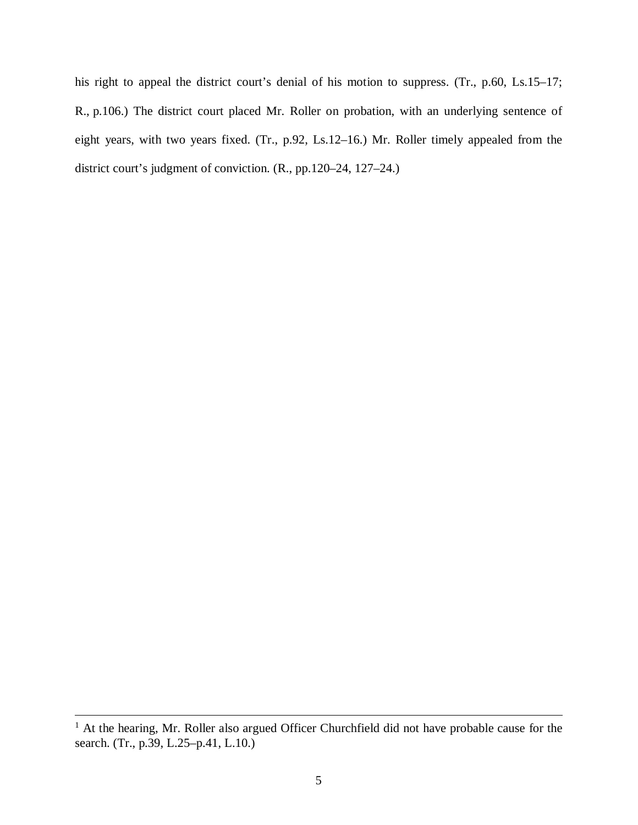his right to appeal the district court's denial of his motion to suppress. (Tr., p.60, Ls.15–17; R., p.106.) The district court placed Mr. Roller on probation, with an underlying sentence of eight years, with two years fixed. (Tr., p.92, Ls.12–16.) Mr. Roller timely appealed from the district court's judgment of conviction. (R., pp.120–24, 127–24.)

<sup>&</sup>lt;sup>1</sup> At the hearing, Mr. Roller also argued Officer Churchfield did not have probable cause for the search. (Tr., p.39, L.25–p.41, L.10.)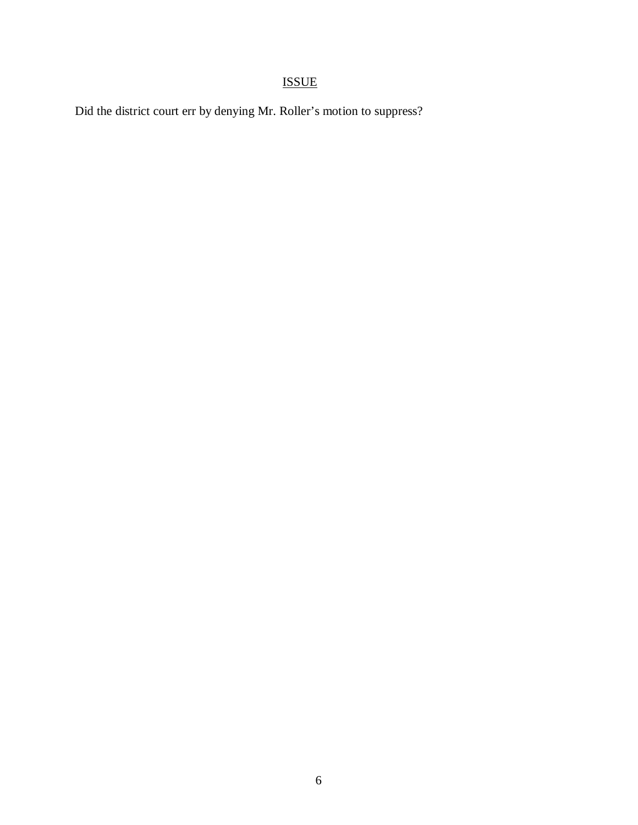# ISSUE

Did the district court err by denying Mr. Roller's motion to suppress?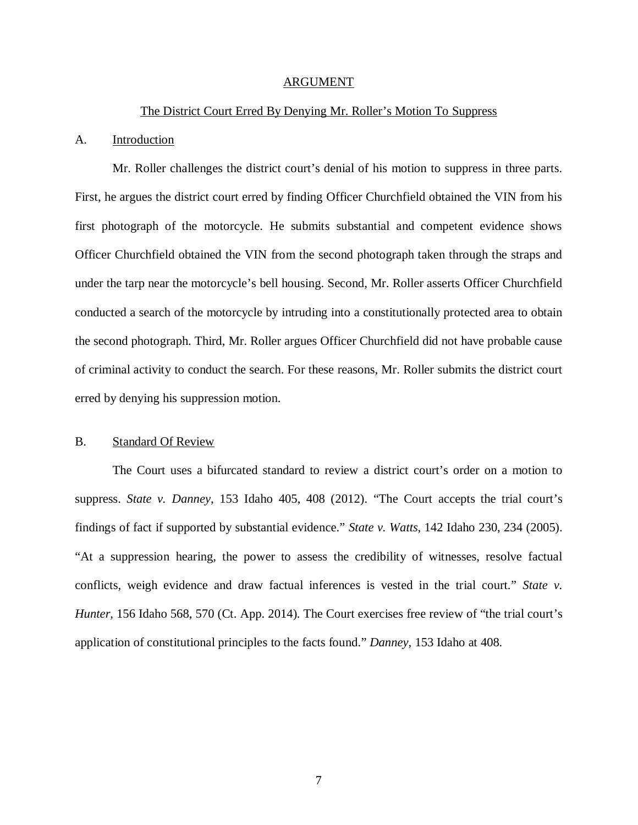#### ARGUMENT

#### The District Court Erred By Denying Mr. Roller's Motion To Suppress

#### A. Introduction

Mr. Roller challenges the district court's denial of his motion to suppress in three parts. First, he argues the district court erred by finding Officer Churchfield obtained the VIN from his first photograph of the motorcycle. He submits substantial and competent evidence shows Officer Churchfield obtained the VIN from the second photograph taken through the straps and under the tarp near the motorcycle's bell housing. Second, Mr. Roller asserts Officer Churchfield conducted a search of the motorcycle by intruding into a constitutionally protected area to obtain the second photograph. Third, Mr. Roller argues Officer Churchfield did not have probable cause of criminal activity to conduct the search. For these reasons, Mr. Roller submits the district court erred by denying his suppression motion.

### B. Standard Of Review

The Court uses a bifurcated standard to review a district court's order on a motion to suppress. *State v. Danney*, 153 Idaho 405, 408 (2012). "The Court accepts the trial court's findings of fact if supported by substantial evidence." *State v. Watts*, 142 Idaho 230, 234 (2005). "At a suppression hearing, the power to assess the credibility of witnesses, resolve factual conflicts, weigh evidence and draw factual inferences is vested in the trial court." *State v. Hunter*, 156 Idaho 568, 570 (Ct. App. 2014). The Court exercises free review of "the trial court's application of constitutional principles to the facts found." *Danney*, 153 Idaho at 408.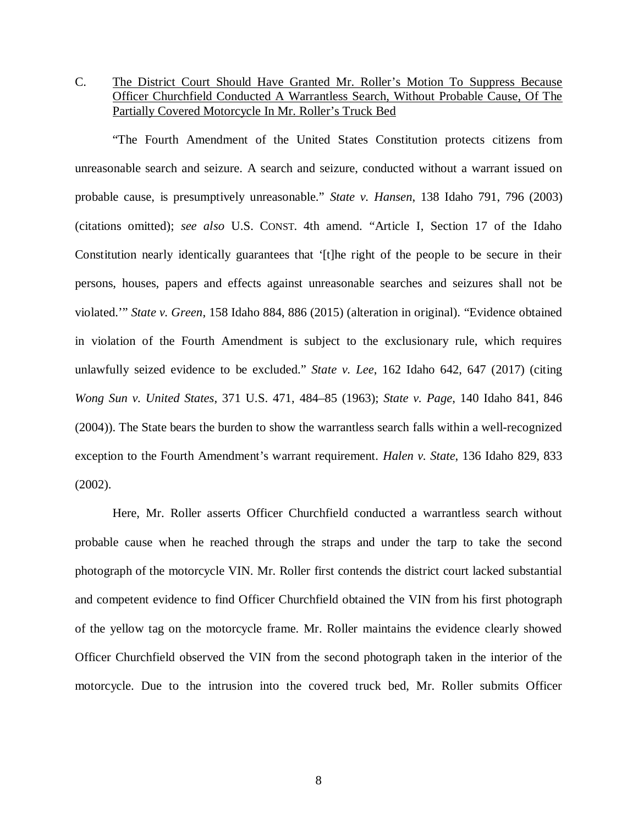C. The District Court Should Have Granted Mr. Roller's Motion To Suppress Because Officer Churchfield Conducted A Warrantless Search, Without Probable Cause, Of The Partially Covered Motorcycle In Mr. Roller's Truck Bed

"The Fourth Amendment of the United States Constitution protects citizens from unreasonable search and seizure. A search and seizure, conducted without a warrant issued on probable cause, is presumptively unreasonable." *State v. Hansen*, 138 Idaho 791, 796 (2003) (citations omitted); *see also* U.S. CONST. 4th amend. "Article I, Section 17 of the Idaho Constitution nearly identically guarantees that '[t]he right of the people to be secure in their persons, houses, papers and effects against unreasonable searches and seizures shall not be violated.'" *State v. Green*, 158 Idaho 884, 886 (2015) (alteration in original). "Evidence obtained in violation of the Fourth Amendment is subject to the exclusionary rule, which requires unlawfully seized evidence to be excluded." *State v. Lee*, 162 Idaho 642, 647 (2017) (citing *Wong Sun v. United States*, 371 U.S. 471, 484–85 (1963); *State v. Page*, 140 Idaho 841, 846 (2004)). The State bears the burden to show the warrantless search falls within a well-recognized exception to the Fourth Amendment's warrant requirement. *Halen v. State*, 136 Idaho 829, 833 (2002).

Here, Mr. Roller asserts Officer Churchfield conducted a warrantless search without probable cause when he reached through the straps and under the tarp to take the second photograph of the motorcycle VIN. Mr. Roller first contends the district court lacked substantial and competent evidence to find Officer Churchfield obtained the VIN from his first photograph of the yellow tag on the motorcycle frame. Mr. Roller maintains the evidence clearly showed Officer Churchfield observed the VIN from the second photograph taken in the interior of the motorcycle. Due to the intrusion into the covered truck bed, Mr. Roller submits Officer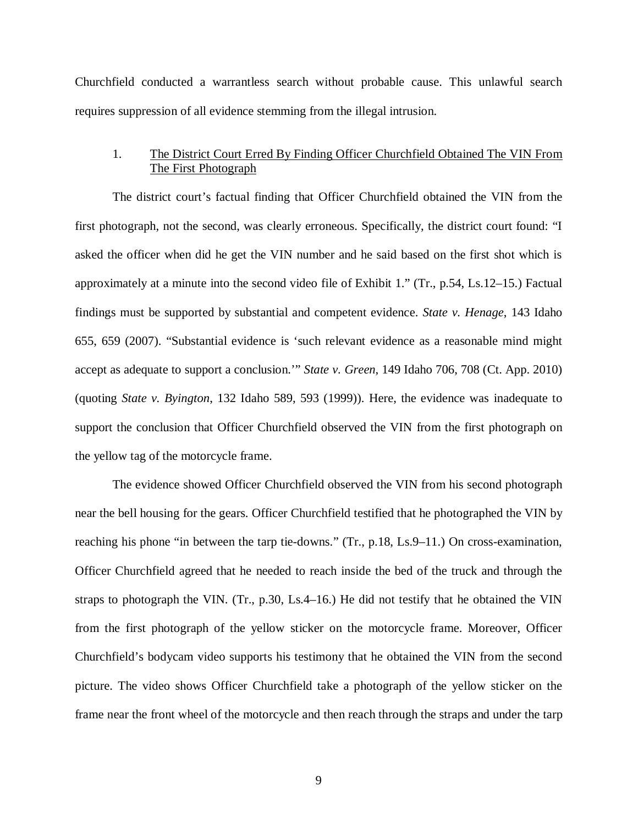Churchfield conducted a warrantless search without probable cause. This unlawful search requires suppression of all evidence stemming from the illegal intrusion.

### 1. The District Court Erred By Finding Officer Churchfield Obtained The VIN From The First Photograph

The district court's factual finding that Officer Churchfield obtained the VIN from the first photograph, not the second, was clearly erroneous. Specifically, the district court found: "I asked the officer when did he get the VIN number and he said based on the first shot which is approximately at a minute into the second video file of Exhibit 1." (Tr., p.54, Ls.12–15.) Factual findings must be supported by substantial and competent evidence. *State v. Henage*, 143 Idaho 655, 659 (2007). "Substantial evidence is 'such relevant evidence as a reasonable mind might accept as adequate to support a conclusion.'" *State v. Green*, 149 Idaho 706, 708 (Ct. App. 2010) (quoting *State v. Byington*, 132 Idaho 589, 593 (1999)). Here, the evidence was inadequate to support the conclusion that Officer Churchfield observed the VIN from the first photograph on the yellow tag of the motorcycle frame.

The evidence showed Officer Churchfield observed the VIN from his second photograph near the bell housing for the gears. Officer Churchfield testified that he photographed the VIN by reaching his phone "in between the tarp tie-downs." (Tr., p.18, Ls.9–11.) On cross-examination, Officer Churchfield agreed that he needed to reach inside the bed of the truck and through the straps to photograph the VIN. (Tr., p.30, Ls.4–16.) He did not testify that he obtained the VIN from the first photograph of the yellow sticker on the motorcycle frame. Moreover, Officer Churchfield's bodycam video supports his testimony that he obtained the VIN from the second picture. The video shows Officer Churchfield take a photograph of the yellow sticker on the frame near the front wheel of the motorcycle and then reach through the straps and under the tarp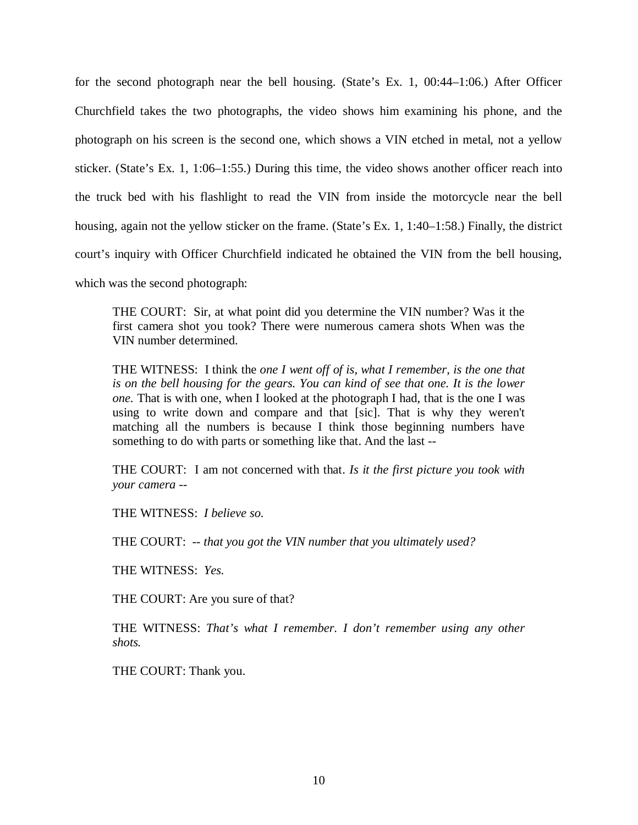for the second photograph near the bell housing. (State's Ex. 1, 00:44–1:06.) After Officer Churchfield takes the two photographs, the video shows him examining his phone, and the photograph on his screen is the second one, which shows a VIN etched in metal, not a yellow sticker. (State's Ex. 1, 1:06–1:55.) During this time, the video shows another officer reach into the truck bed with his flashlight to read the VIN from inside the motorcycle near the bell housing, again not the yellow sticker on the frame. (State's Ex. 1, 1:40–1:58.) Finally, the district court's inquiry with Officer Churchfield indicated he obtained the VIN from the bell housing, which was the second photograph:

THE COURT: Sir, at what point did you determine the VIN number? Was it the first camera shot you took? There were numerous camera shots When was the VIN number determined.

THE WITNESS: I think the *one I went off of is, what I remember, is the one that is on the bell housing for the gears. You can kind of see that one. It is the lower one.* That is with one, when I looked at the photograph I had, that is the one I was using to write down and compare and that [sic]. That is why they weren't matching all the numbers is because I think those beginning numbers have something to do with parts or something like that. And the last --

THE COURT: I am not concerned with that. *Is it the first picture you took with your camera --*

THE WITNESS: *I believe so.*

THE COURT: -- *that you got the VIN number that you ultimately used?*

THE WITNESS: *Yes.*

THE COURT: Are you sure of that?

THE WITNESS: *That's what I remember. I don't remember using any other shots.*

THE COURT: Thank you.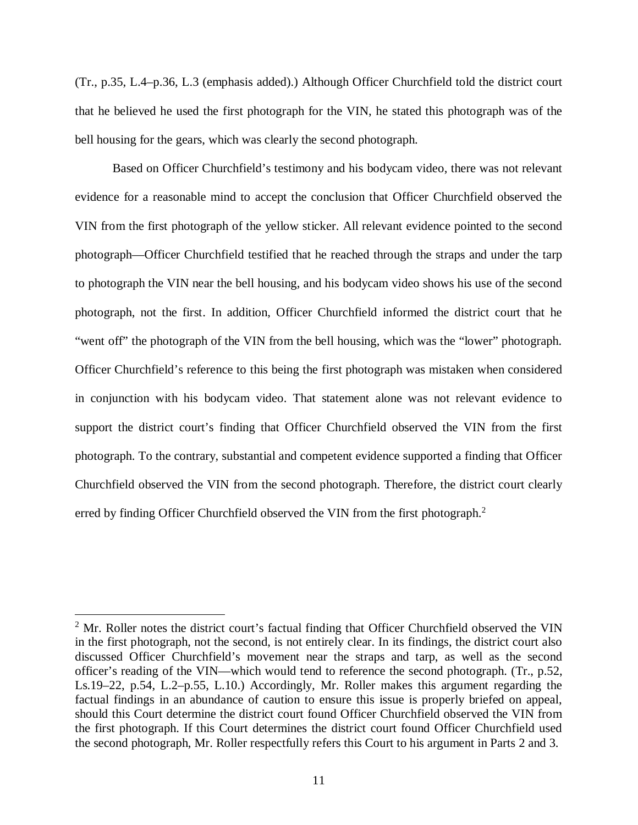(Tr., p.35, L.4–p.36, L.3 (emphasis added).) Although Officer Churchfield told the district court that he believed he used the first photograph for the VIN, he stated this photograph was of the bell housing for the gears, which was clearly the second photograph.

Based on Officer Churchfield's testimony and his bodycam video, there was not relevant evidence for a reasonable mind to accept the conclusion that Officer Churchfield observed the VIN from the first photograph of the yellow sticker. All relevant evidence pointed to the second photograph—Officer Churchfield testified that he reached through the straps and under the tarp to photograph the VIN near the bell housing, and his bodycam video shows his use of the second photograph, not the first. In addition, Officer Churchfield informed the district court that he "went off" the photograph of the VIN from the bell housing, which was the "lower" photograph. Officer Churchfield's reference to this being the first photograph was mistaken when considered in conjunction with his bodycam video. That statement alone was not relevant evidence to support the district court's finding that Officer Churchfield observed the VIN from the first photograph. To the contrary, substantial and competent evidence supported a finding that Officer Churchfield observed the VIN from the second photograph. Therefore, the district court clearly erred by finding Officer Churchfield observed the VIN from the first photograph.<sup>[2](#page-16-0)</sup>

<span id="page-16-0"></span><sup>&</sup>lt;sup>2</sup> Mr. Roller notes the district court's factual finding that Officer Churchfield observed the VIN in the first photograph, not the second, is not entirely clear. In its findings, the district court also discussed Officer Churchfield's movement near the straps and tarp, as well as the second officer's reading of the VIN—which would tend to reference the second photograph. (Tr., p.52, Ls.19–22, p.54, L.2–p.55, L.10.) Accordingly, Mr. Roller makes this argument regarding the factual findings in an abundance of caution to ensure this issue is properly briefed on appeal, should this Court determine the district court found Officer Churchfield observed the VIN from the first photograph. If this Court determines the district court found Officer Churchfield used the second photograph, Mr. Roller respectfully refers this Court to his argument in Parts 2 and 3.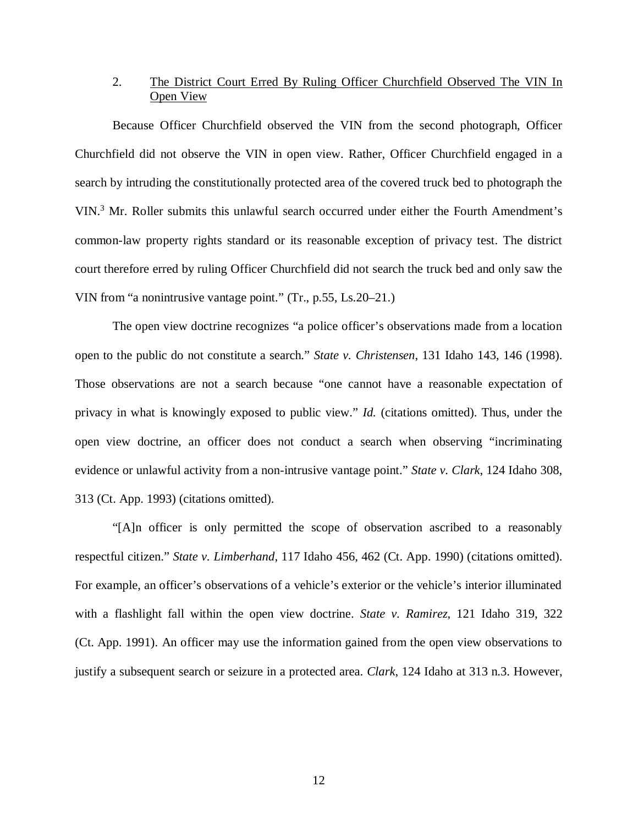## 2. The District Court Erred By Ruling Officer Churchfield Observed The VIN In Open View

Because Officer Churchfield observed the VIN from the second photograph, Officer Churchfield did not observe the VIN in open view. Rather, Officer Churchfield engaged in a search by intruding the constitutionally protected area of the covered truck bed to photograph the VIN.<sup>[3](#page-17-0)</sup> Mr. Roller submits this unlawful search occurred under either the Fourth Amendment's common-law property rights standard or its reasonable exception of privacy test. The district court therefore erred by ruling Officer Churchfield did not search the truck bed and only saw the VIN from "a nonintrusive vantage point." (Tr., p.55, Ls.20–21.)

The open view doctrine recognizes "a police officer's observations made from a location open to the public do not constitute a search." *State v. Christensen*, 131 Idaho 143, 146 (1998). Those observations are not a search because "one cannot have a reasonable expectation of privacy in what is knowingly exposed to public view." *Id.* (citations omitted). Thus, under the open view doctrine, an officer does not conduct a search when observing "incriminating evidence or unlawful activity from a non-intrusive vantage point." *State v. Clark*, 124 Idaho 308, 313 (Ct. App. 1993) (citations omitted).

<span id="page-17-0"></span>"[A]n officer is only permitted the scope of observation ascribed to a reasonably respectful citizen." *State v. Limberhand*, 117 Idaho 456, 462 (Ct. App. 1990) (citations omitted). For example, an officer's observations of a vehicle's exterior or the vehicle's interior illuminated with a flashlight fall within the open view doctrine. *State v. Ramirez*, 121 Idaho 319, 322 (Ct. App. 1991). An officer may use the information gained from the open view observations to justify a subsequent search or seizure in a protected area. *Clark*, 124 Idaho at 313 n.3. However,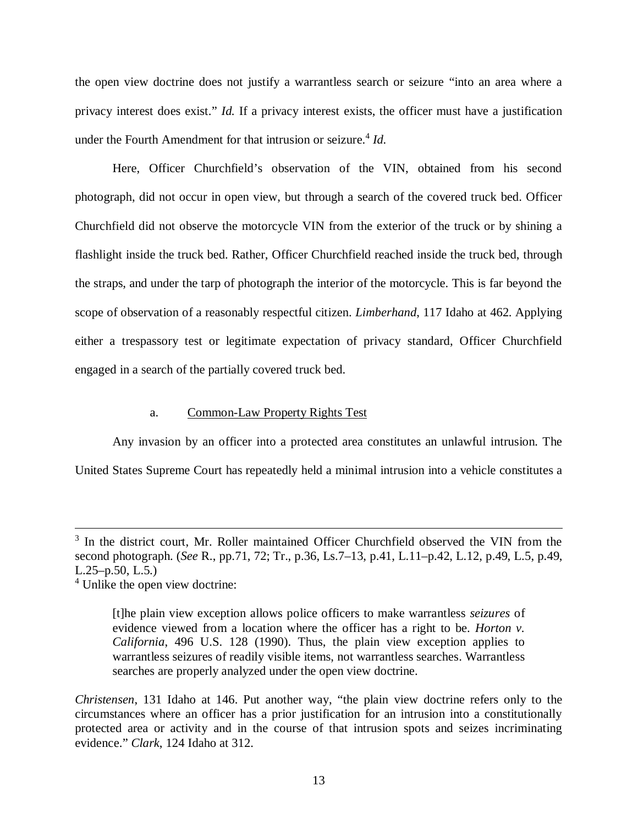the open view doctrine does not justify a warrantless search or seizure "into an area where a privacy interest does exist." *Id.* If a privacy interest exists, the officer must have a justification under the Fourth Amendment for that intrusion or seizure.<sup>[4](#page-18-0)</sup> Id.

Here, Officer Churchfield's observation of the VIN, obtained from his second photograph, did not occur in open view, but through a search of the covered truck bed. Officer Churchfield did not observe the motorcycle VIN from the exterior of the truck or by shining a flashlight inside the truck bed. Rather, Officer Churchfield reached inside the truck bed, through the straps, and under the tarp of photograph the interior of the motorcycle. This is far beyond the scope of observation of a reasonably respectful citizen. *Limberhand*, 117 Idaho at 462. Applying either a trespassory test or legitimate expectation of privacy standard, Officer Churchfield engaged in a search of the partially covered truck bed.

## a. Common-Law Property Rights Test

Any invasion by an officer into a protected area constitutes an unlawful intrusion. The United States Supreme Court has repeatedly held a minimal intrusion into a vehicle constitutes a

<sup>&</sup>lt;sup>3</sup> In the district court, Mr. Roller maintained Officer Churchfield observed the VIN from the second photograph. (*See* R., pp.71, 72; Tr., p.36, Ls.7–13, p.41, L.11–p.42, L.12, p.49, L.5, p.49,  $L.25-p.50, L.5.$ 

<span id="page-18-0"></span><sup>&</sup>lt;sup>4</sup> Unlike the open view doctrine:

<sup>[</sup>t]he plain view exception allows police officers to make warrantless *seizures* of evidence viewed from a location where the officer has a right to be. *Horton v. California*, 496 U.S. 128 (1990). Thus, the plain view exception applies to warrantless seizures of readily visible items, not warrantless searches. Warrantless searches are properly analyzed under the open view doctrine.

*Christensen*, 131 Idaho at 146. Put another way, "the plain view doctrine refers only to the circumstances where an officer has a prior justification for an intrusion into a constitutionally protected area or activity and in the course of that intrusion spots and seizes incriminating evidence." *Clark*, 124 Idaho at 312.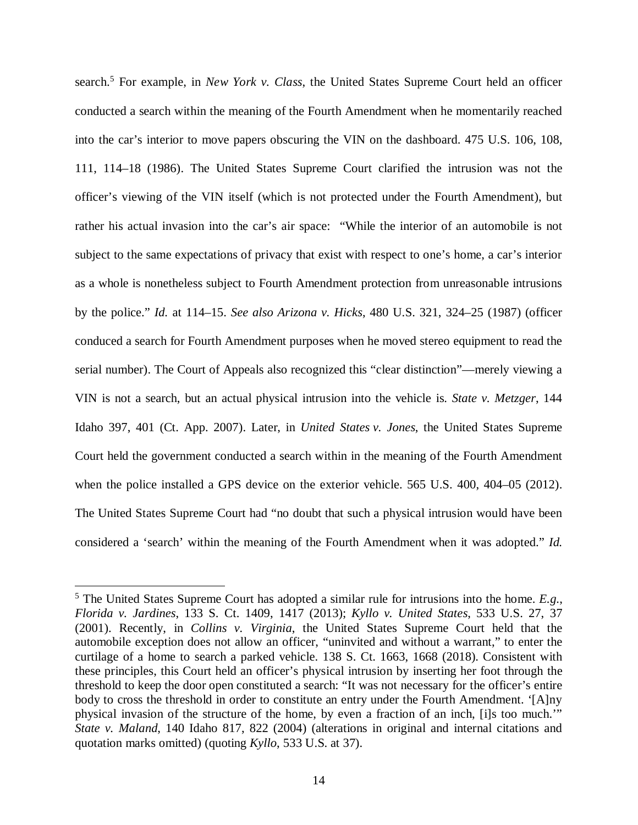search.<sup>[5](#page-19-0)</sup> For example, in *New York v. Class*, the United States Supreme Court held an officer conducted a search within the meaning of the Fourth Amendment when he momentarily reached into the car's interior to move papers obscuring the VIN on the dashboard. 475 U.S. 106, 108, 111, 114–18 (1986). The United States Supreme Court clarified the intrusion was not the officer's viewing of the VIN itself (which is not protected under the Fourth Amendment), but rather his actual invasion into the car's air space: "While the interior of an automobile is not subject to the same expectations of privacy that exist with respect to one's home, a car's interior as a whole is nonetheless subject to Fourth Amendment protection from unreasonable intrusions by the police." *Id.* at 114–15. *See also Arizona v. Hicks*, 480 U.S. 321, 324–25 (1987) (officer conduced a search for Fourth Amendment purposes when he moved stereo equipment to read the serial number). The Court of Appeals also recognized this "clear distinction"—merely viewing a VIN is not a search, but an actual physical intrusion into the vehicle is. *State v. Metzger*, 144 Idaho 397, 401 (Ct. App. 2007). Later, in *United States v. Jones*, the United States Supreme Court held the government conducted a search within in the meaning of the Fourth Amendment when the police installed a GPS device on the exterior vehicle. 565 U.S. 400, 404–05 (2012). The United States Supreme Court had "no doubt that such a physical intrusion would have been considered a 'search' within the meaning of the Fourth Amendment when it was adopted." *Id.*

<span id="page-19-0"></span><sup>5</sup> The United States Supreme Court has adopted a similar rule for intrusions into the home. *E.g.*, *Florida v. Jardines*, 133 S. Ct. 1409, 1417 (2013); *Kyllo v. United States*, 533 U.S. 27, 37 (2001). Recently, in *Collins v. Virginia*, the United States Supreme Court held that the automobile exception does not allow an officer, "uninvited and without a warrant," to enter the curtilage of a home to search a parked vehicle. 138 S. Ct. 1663, 1668 (2018). Consistent with these principles, this Court held an officer's physical intrusion by inserting her foot through the threshold to keep the door open constituted a search: "It was not necessary for the officer's entire body to cross the threshold in order to constitute an entry under the Fourth Amendment. '[A]ny physical invasion of the structure of the home, by even a fraction of an inch, [i]s too much.'" *State v. Maland*, 140 Idaho 817, 822 (2004) (alterations in original and internal citations and quotation marks omitted) (quoting *Kyllo*, 533 U.S. at 37).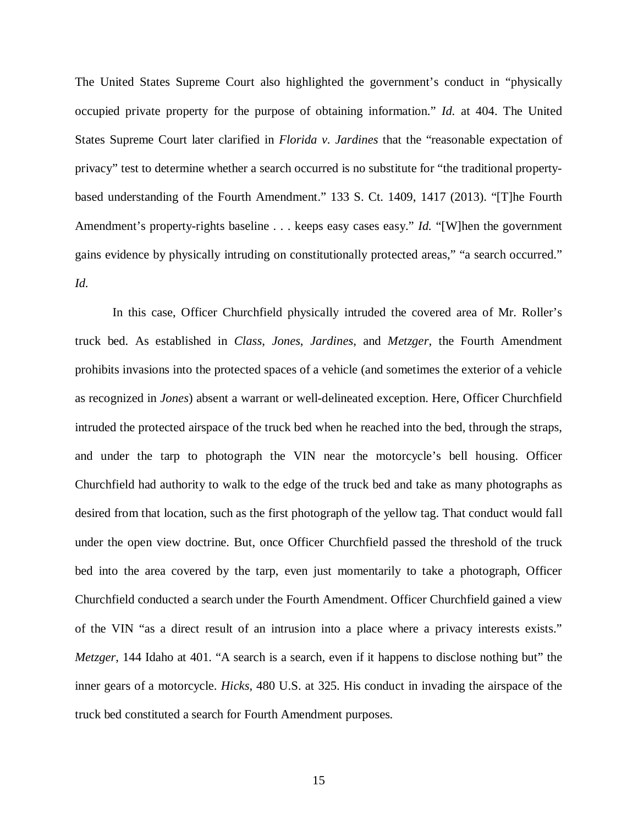The United States Supreme Court also highlighted the government's conduct in "physically occupied private property for the purpose of obtaining information." *Id.* at 404. The United States Supreme Court later clarified in *Florida v. Jardines* that the "reasonable expectation of privacy" test to determine whether a search occurred is no substitute for "the traditional propertybased understanding of the Fourth Amendment." 133 S. Ct. 1409, 1417 (2013). "[T]he Fourth Amendment's property-rights baseline . . . keeps easy cases easy." *Id.* "[W]hen the government gains evidence by physically intruding on constitutionally protected areas," "a search occurred." *Id.*

In this case, Officer Churchfield physically intruded the covered area of Mr. Roller's truck bed. As established in *Class*, *Jones*, *Jardines*, and *Metzger*, the Fourth Amendment prohibits invasions into the protected spaces of a vehicle (and sometimes the exterior of a vehicle as recognized in *Jones*) absent a warrant or well-delineated exception. Here, Officer Churchfield intruded the protected airspace of the truck bed when he reached into the bed, through the straps, and under the tarp to photograph the VIN near the motorcycle's bell housing. Officer Churchfield had authority to walk to the edge of the truck bed and take as many photographs as desired from that location, such as the first photograph of the yellow tag. That conduct would fall under the open view doctrine. But, once Officer Churchfield passed the threshold of the truck bed into the area covered by the tarp, even just momentarily to take a photograph, Officer Churchfield conducted a search under the Fourth Amendment. Officer Churchfield gained a view of the VIN "as a direct result of an intrusion into a place where a privacy interests exists." *Metzger*, 144 Idaho at 401. "A search is a search, even if it happens to disclose nothing but" the inner gears of a motorcycle. *Hicks*, 480 U.S. at 325. His conduct in invading the airspace of the truck bed constituted a search for Fourth Amendment purposes.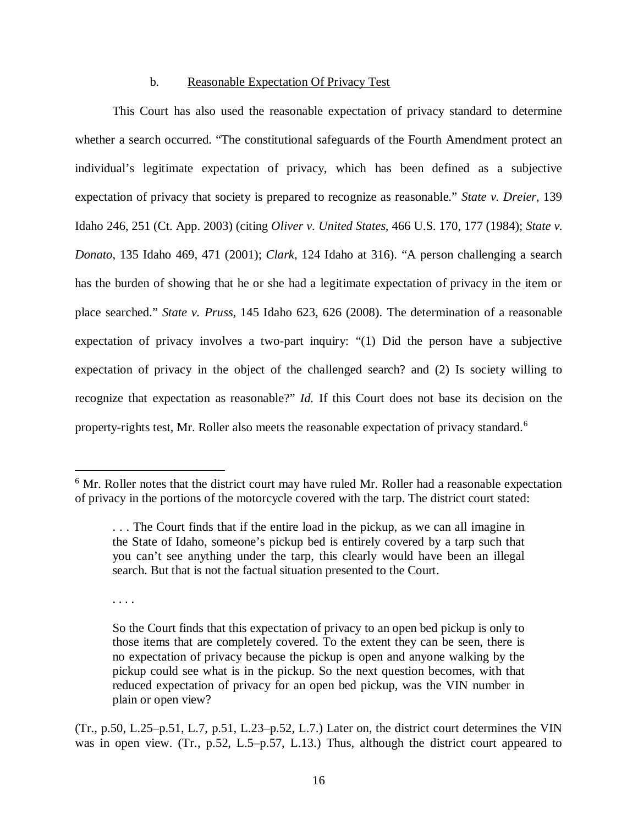#### b. Reasonable Expectation Of Privacy Test

This Court has also used the reasonable expectation of privacy standard to determine whether a search occurred. "The constitutional safeguards of the Fourth Amendment protect an individual's legitimate expectation of privacy, which has been defined as a subjective expectation of privacy that society is prepared to recognize as reasonable." *State v. Dreier*, 139 Idaho 246, 251 (Ct. App. 2003) (citing *Oliver v. United States*, 466 U.S. 170, 177 (1984); *State v. Donato*, 135 Idaho 469, 471 (2001); *Clark*, 124 Idaho at 316). "A person challenging a search has the burden of showing that he or she had a legitimate expectation of privacy in the item or place searched." *State v. Pruss*, 145 Idaho 623, 626 (2008). The determination of a reasonable expectation of privacy involves a two-part inquiry: "(1) Did the person have a subjective expectation of privacy in the object of the challenged search? and (2) Is society willing to recognize that expectation as reasonable?" *Id.* If this Court does not base its decision on the property-rights test, Mr. Roller also meets the reasonable expectation of privacy standard.<sup>[6](#page-21-0)</sup>

. . . .

<span id="page-21-0"></span><sup>&</sup>lt;sup>6</sup> Mr. Roller notes that the district court may have ruled Mr. Roller had a reasonable expectation of privacy in the portions of the motorcycle covered with the tarp. The district court stated:

<sup>. . .</sup> The Court finds that if the entire load in the pickup, as we can all imagine in the State of Idaho, someone's pickup bed is entirely covered by a tarp such that you can't see anything under the tarp, this clearly would have been an illegal search. But that is not the factual situation presented to the Court.

So the Court finds that this expectation of privacy to an open bed pickup is only to those items that are completely covered. To the extent they can be seen, there is no expectation of privacy because the pickup is open and anyone walking by the pickup could see what is in the pickup. So the next question becomes, with that reduced expectation of privacy for an open bed pickup, was the VIN number in plain or open view?

<sup>(</sup>Tr., p.50, L.25–p.51, L.7, p.51, L.23–p.52, L.7.) Later on, the district court determines the VIN was in open view. (Tr., p.52, L.5–p.57, L.13.) Thus, although the district court appeared to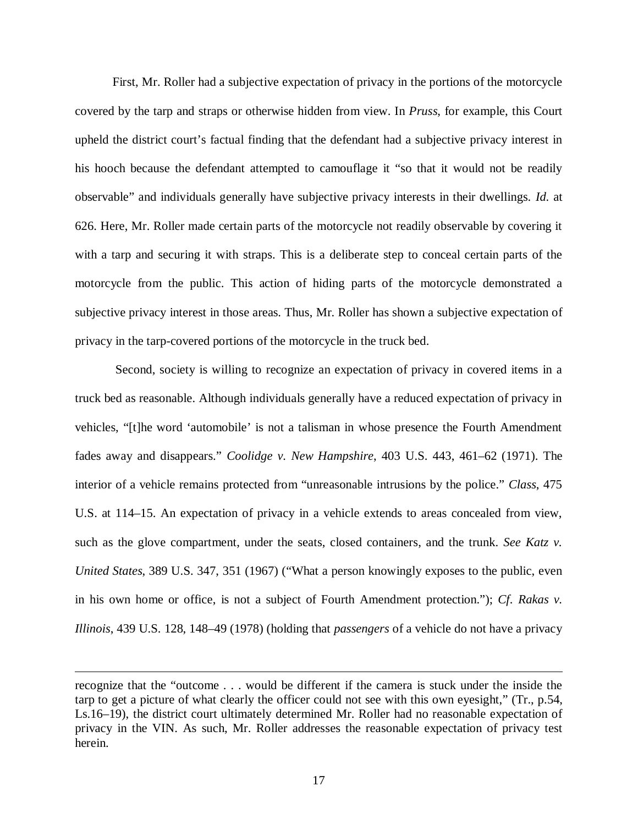First, Mr. Roller had a subjective expectation of privacy in the portions of the motorcycle covered by the tarp and straps or otherwise hidden from view. In *Pruss*, for example, this Court upheld the district court's factual finding that the defendant had a subjective privacy interest in his hooch because the defendant attempted to camouflage it "so that it would not be readily observable" and individuals generally have subjective privacy interests in their dwellings. *Id.* at 626. Here, Mr. Roller made certain parts of the motorcycle not readily observable by covering it with a tarp and securing it with straps. This is a deliberate step to conceal certain parts of the motorcycle from the public. This action of hiding parts of the motorcycle demonstrated a subjective privacy interest in those areas. Thus, Mr. Roller has shown a subjective expectation of privacy in the tarp-covered portions of the motorcycle in the truck bed.

 Second, society is willing to recognize an expectation of privacy in covered items in a truck bed as reasonable. Although individuals generally have a reduced expectation of privacy in vehicles, "[t]he word 'automobile' is not a talisman in whose presence the Fourth Amendment fades away and disappears." *Coolidge v. New Hampshire*, 403 U.S. 443, 461–62 (1971). The interior of a vehicle remains protected from "unreasonable intrusions by the police." *Class*, 475 U.S. at 114–15. An expectation of privacy in a vehicle extends to areas concealed from view, such as the glove compartment, under the seats, closed containers, and the trunk. *See Katz v. United States*, 389 U.S. 347, 351 (1967) ("What a person knowingly exposes to the public, even in his own home or office, is not a subject of Fourth Amendment protection."); *Cf. Rakas v. Illinois*, 439 U.S. 128, 148–49 (1978) (holding that *passengers* of a vehicle do not have a privacy

recognize that the "outcome . . . would be different if the camera is stuck under the inside the tarp to get a picture of what clearly the officer could not see with this own eyesight," (Tr., p.54, Ls.16–19), the district court ultimately determined Mr. Roller had no reasonable expectation of privacy in the VIN. As such, Mr. Roller addresses the reasonable expectation of privacy test herein.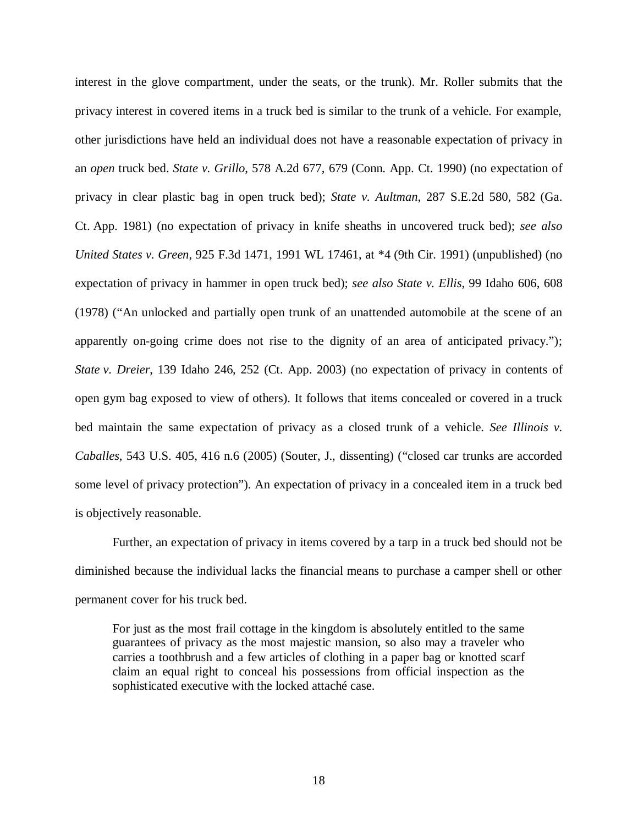interest in the glove compartment, under the seats, or the trunk). Mr. Roller submits that the privacy interest in covered items in a truck bed is similar to the trunk of a vehicle. For example, other jurisdictions have held an individual does not have a reasonable expectation of privacy in an *open* truck bed. *State v. Grillo*, 578 A.2d 677, 679 (Conn. App. Ct. 1990) (no expectation of privacy in clear plastic bag in open truck bed); *State v. Aultman*, 287 S.E.2d 580, 582 (Ga. Ct. App. 1981) (no expectation of privacy in knife sheaths in uncovered truck bed); *see also United States v. Green*, 925 F.3d 1471, 1991 WL 17461, at \*4 (9th Cir. 1991) (unpublished) (no expectation of privacy in hammer in open truck bed); *see also State v. Ellis*, 99 Idaho 606, 608 (1978) ("An unlocked and partially open trunk of an unattended automobile at the scene of an apparently on-going crime does not rise to the dignity of an area of anticipated privacy."); *State v. Dreier*, 139 Idaho 246, 252 (Ct. App. 2003) (no expectation of privacy in contents of open gym bag exposed to view of others). It follows that items concealed or covered in a truck bed maintain the same expectation of privacy as a closed trunk of a vehicle. *See Illinois v. Caballes*, 543 U.S. 405, 416 n.6 (2005) (Souter, J., dissenting) ("closed car trunks are accorded some level of privacy protection"). An expectation of privacy in a concealed item in a truck bed is objectively reasonable.

Further, an expectation of privacy in items covered by a tarp in a truck bed should not be diminished because the individual lacks the financial means to purchase a camper shell or other permanent cover for his truck bed.

For just as the most frail cottage in the kingdom is absolutely entitled to the same guarantees of privacy as the most majestic mansion, so also may a traveler who carries a toothbrush and a few articles of clothing in a paper bag or knotted scarf claim an equal right to conceal his possessions from official inspection as the sophisticated executive with the locked attaché case.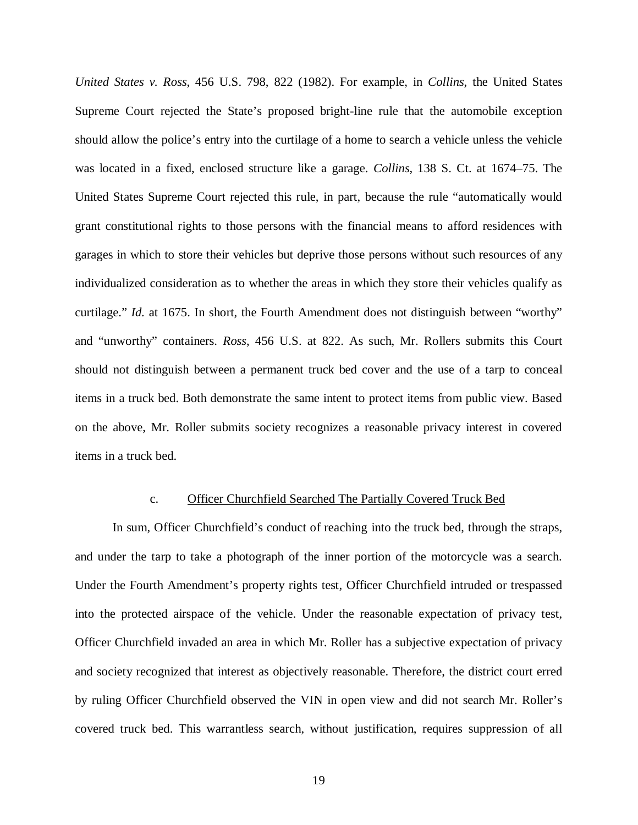*United States v. Ross*, 456 U.S. 798, 822 (1982). For example, in *Collins*, the United States Supreme Court rejected the State's proposed bright-line rule that the automobile exception should allow the police's entry into the curtilage of a home to search a vehicle unless the vehicle was located in a fixed, enclosed structure like a garage. *Collins*, 138 S. Ct. at 1674–75. The United States Supreme Court rejected this rule, in part, because the rule "automatically would grant constitutional rights to those persons with the financial means to afford residences with garages in which to store their vehicles but deprive those persons without such resources of any individualized consideration as to whether the areas in which they store their vehicles qualify as curtilage." *Id.* at 1675. In short, the Fourth Amendment does not distinguish between "worthy" and "unworthy" containers. *Ross*, 456 U.S. at 822. As such, Mr. Rollers submits this Court should not distinguish between a permanent truck bed cover and the use of a tarp to conceal items in a truck bed. Both demonstrate the same intent to protect items from public view. Based on the above, Mr. Roller submits society recognizes a reasonable privacy interest in covered items in a truck bed.

#### c. Officer Churchfield Searched The Partially Covered Truck Bed

In sum, Officer Churchfield's conduct of reaching into the truck bed, through the straps, and under the tarp to take a photograph of the inner portion of the motorcycle was a search. Under the Fourth Amendment's property rights test, Officer Churchfield intruded or trespassed into the protected airspace of the vehicle. Under the reasonable expectation of privacy test, Officer Churchfield invaded an area in which Mr. Roller has a subjective expectation of privacy and society recognized that interest as objectively reasonable. Therefore, the district court erred by ruling Officer Churchfield observed the VIN in open view and did not search Mr. Roller's covered truck bed. This warrantless search, without justification, requires suppression of all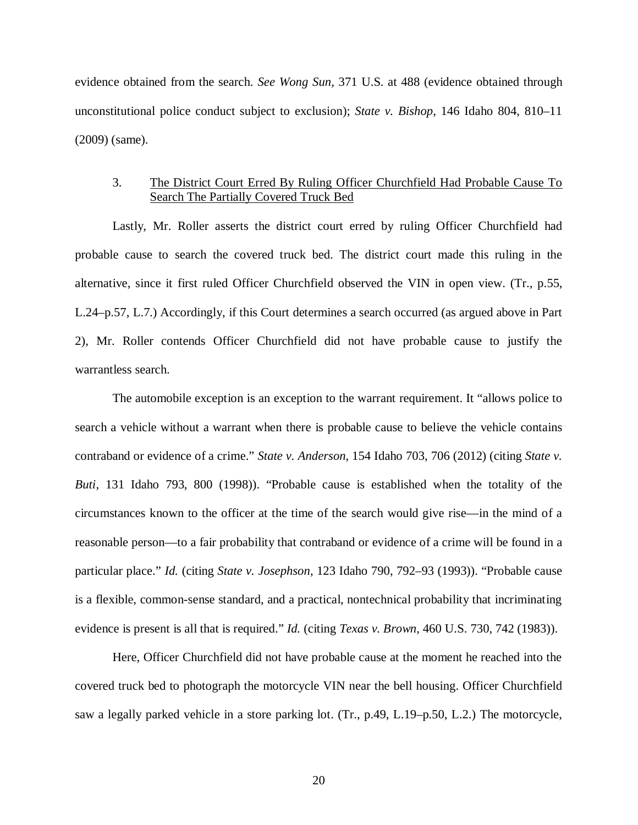evidence obtained from the search. *See Wong Sun*, 371 U.S. at 488 (evidence obtained through unconstitutional police conduct subject to exclusion); *State v. Bishop*, 146 Idaho 804, 810–11 (2009) (same).

## 3. The District Court Erred By Ruling Officer Churchfield Had Probable Cause To Search The Partially Covered Truck Bed

Lastly, Mr. Roller asserts the district court erred by ruling Officer Churchfield had probable cause to search the covered truck bed. The district court made this ruling in the alternative, since it first ruled Officer Churchfield observed the VIN in open view. (Tr., p.55, L.24–p.57, L.7.) Accordingly, if this Court determines a search occurred (as argued above in Part 2), Mr. Roller contends Officer Churchfield did not have probable cause to justify the warrantless search.

The automobile exception is an exception to the warrant requirement. It "allows police to search a vehicle without a warrant when there is probable cause to believe the vehicle contains contraband or evidence of a crime." *State v. Anderson*, 154 Idaho 703, 706 (2012) (citing *State v. Buti*, 131 Idaho 793, 800 (1998)). "Probable cause is established when the totality of the circumstances known to the officer at the time of the search would give rise—in the mind of a reasonable person—to a fair probability that contraband or evidence of a crime will be found in a particular place." *Id.* (citing *State v. Josephson*, 123 Idaho 790, 792–93 (1993)). "Probable cause is a flexible, common-sense standard, and a practical, nontechnical probability that incriminating evidence is present is all that is required." *Id.* (citing *Texas v. Brown*, 460 U.S. 730, 742 (1983)).

Here, Officer Churchfield did not have probable cause at the moment he reached into the covered truck bed to photograph the motorcycle VIN near the bell housing. Officer Churchfield saw a legally parked vehicle in a store parking lot. (Tr., p.49, L.19–p.50, L.2.) The motorcycle,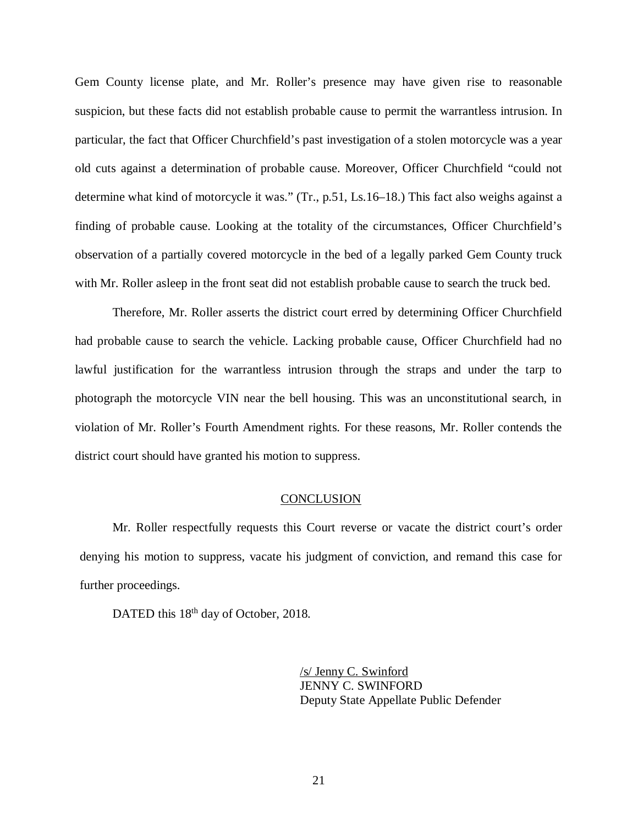Gem County license plate, and Mr. Roller's presence may have given rise to reasonable suspicion, but these facts did not establish probable cause to permit the warrantless intrusion. In particular, the fact that Officer Churchfield's past investigation of a stolen motorcycle was a year old cuts against a determination of probable cause. Moreover, Officer Churchfield "could not determine what kind of motorcycle it was." (Tr., p.51, Ls.16–18.) This fact also weighs against a finding of probable cause. Looking at the totality of the circumstances, Officer Churchfield's observation of a partially covered motorcycle in the bed of a legally parked Gem County truck with Mr. Roller asleep in the front seat did not establish probable cause to search the truck bed.

Therefore, Mr. Roller asserts the district court erred by determining Officer Churchfield had probable cause to search the vehicle. Lacking probable cause, Officer Churchfield had no lawful justification for the warrantless intrusion through the straps and under the tarp to photograph the motorcycle VIN near the bell housing. This was an unconstitutional search, in violation of Mr. Roller's Fourth Amendment rights. For these reasons, Mr. Roller contends the district court should have granted his motion to suppress.

#### **CONCLUSION**

Mr. Roller respectfully requests this Court reverse or vacate the district court's order denying his motion to suppress, vacate his judgment of conviction, and remand this case for further proceedings.

DATED this 18<sup>th</sup> day of October, 2018.

/s/ Jenny C. Swinford JENNY C. SWINFORD Deputy State Appellate Public Defender